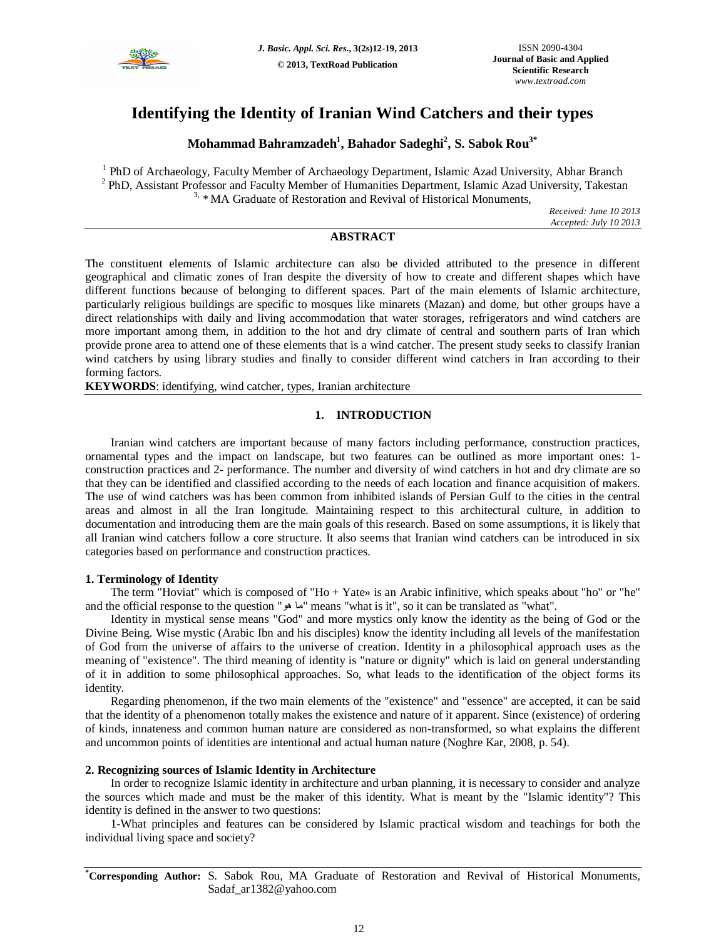

# **Identifying the Identity of Iranian Wind Catchers and their types**

**Mohammad Bahramzadeh<sup>1</sup> , Bahador Sadeghi<sup>2</sup> , S. Sabok Rou3\***

<sup>1</sup> PhD of Archaeology, Faculty Member of Archaeology Department, Islamic Azad University, Abhar Branch <sup>2</sup> PhD, Assistant Professor and Faculty Member of Humanities Department, Islamic Azad University, Takestan  $3.$  \* MA Graduate of Restoration and Revival of Historical Monuments,

> *Received: June 10 2013 Accepted: July 10 2013*

## **ABSTRACT**

The constituent elements of Islamic architecture can also be divided attributed to the presence in different geographical and climatic zones of Iran despite the diversity of how to create and different shapes which have different functions because of belonging to different spaces. Part of the main elements of Islamic architecture, particularly religious buildings are specific to mosques like minarets (Mazan) and dome, but other groups have a direct relationships with daily and living accommodation that water storages, refrigerators and wind catchers are more important among them, in addition to the hot and dry climate of central and southern parts of Iran which provide prone area to attend one of these elements that is a wind catcher. The present study seeks to classify Iranian wind catchers by using library studies and finally to consider different wind catchers in Iran according to their forming factors.

**KEYWORDS**: identifying, wind catcher, types, Iranian architecture

## **1. INTRODUCTION**

Iranian wind catchers are important because of many factors including performance, construction practices, ornamental types and the impact on landscape, but two features can be outlined as more important ones: 1 construction practices and 2- performance. The number and diversity of wind catchers in hot and dry climate are so that they can be identified and classified according to the needs of each location and finance acquisition of makers. The use of wind catchers was has been common from inhibited islands of Persian Gulf to the cities in the central areas and almost in all the Iran longitude. Maintaining respect to this architectural culture, in addition to documentation and introducing them are the main goals of this research. Based on some assumptions, it is likely that all Iranian wind catchers follow a core structure. It also seems that Iranian wind catchers can be introduced in six categories based on performance and construction practices.

## **1. Terminology of Identity**

The term "Hoviat" which is composed of "Ho + Yate» is an Arabic infinitive, which speaks about "ho" or "he" and the official response to the question "ھو ما "means "what is it", so it can be translated as "what".

Identity in mystical sense means "God" and more mystics only know the identity as the being of God or the Divine Being. Wise mystic (Arabic Ibn and his disciples) know the identity including all levels of the manifestation of God from the universe of affairs to the universe of creation. Identity in a philosophical approach uses as the meaning of "existence". The third meaning of identity is "nature or dignity" which is laid on general understanding of it in addition to some philosophical approaches. So, what leads to the identification of the object forms its identity.

Regarding phenomenon, if the two main elements of the "existence" and "essence" are accepted, it can be said that the identity of a phenomenon totally makes the existence and nature of it apparent. Since (existence) of ordering of kinds, innateness and common human nature are considered as non-transformed, so what explains the different and uncommon points of identities are intentional and actual human nature (Noghre Kar, 2008, p. 54).

## **2. Recognizing sources of Islamic Identity in Architecture**

In order to recognize Islamic identity in architecture and urban planning, it is necessary to consider and analyze the sources which made and must be the maker of this identity. What is meant by the "Islamic identity"? This identity is defined in the answer to two questions:

1-What principles and features can be considered by Islamic practical wisdom and teachings for both the individual living space and society?

**\*Corresponding Author:** S. Sabok Rou, MA Graduate of Restoration and Revival of Historical Monuments, Sadaf\_ar1382@yahoo.com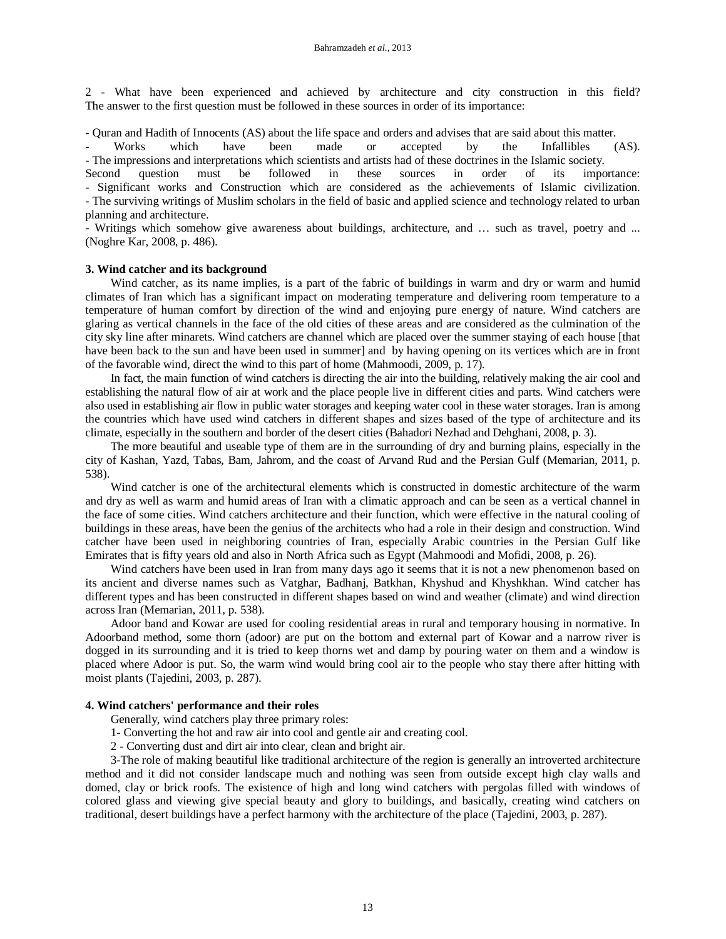2 - What have been experienced and achieved by architecture and city construction in this field? The answer to the first question must be followed in these sources in order of its importance:

- Quran and Hadith of Innocents (AS) about the life space and orders and advises that are said about this matter.

- Works which have been made or accepted by the Infallibles (AS). - The impressions and interpretations which scientists and artists had of these doctrines in the Islamic society.

Second question must be followed in these sources in order of its importance: - Significant works and Construction which are considered as the achievements of Islamic civilization. - The surviving writings of Muslim scholars in the field of basic and applied science and technology related to urban planning and architecture.

- Writings which somehow give awareness about buildings, architecture, and … such as travel, poetry and ... (Noghre Kar, 2008, p. 486).

#### **3. Wind catcher and its background**

Wind catcher, as its name implies, is a part of the fabric of buildings in warm and dry or warm and humid climates of Iran which has a significant impact on moderating temperature and delivering room temperature to a temperature of human comfort by direction of the wind and enjoying pure energy of nature. Wind catchers are glaring as vertical channels in the face of the old cities of these areas and are considered as the culmination of the city sky line after minarets. Wind catchers are channel which are placed over the summer staying of each house [that have been back to the sun and have been used in summer] and by having opening on its vertices which are in front of the favorable wind, direct the wind to this part of home (Mahmoodi, 2009, p. 17).

In fact, the main function of wind catchers is directing the air into the building, relatively making the air cool and establishing the natural flow of air at work and the place people live in different cities and parts. Wind catchers were also used in establishing air flow in public water storages and keeping water cool in these water storages. Iran is among the countries which have used wind catchers in different shapes and sizes based of the type of architecture and its climate, especially in the southern and border of the desert cities (Bahadori Nezhad and Dehghani, 2008, p. 3).

The more beautiful and useable type of them are in the surrounding of dry and burning plains, especially in the city of Kashan, Yazd, Tabas, Bam, Jahrom, and the coast of Arvand Rud and the Persian Gulf (Memarian, 2011, p. 538).

Wind catcher is one of the architectural elements which is constructed in domestic architecture of the warm and dry as well as warm and humid areas of Iran with a climatic approach and can be seen as a vertical channel in the face of some cities. Wind catchers architecture and their function, which were effective in the natural cooling of buildings in these areas, have been the genius of the architects who had a role in their design and construction. Wind catcher have been used in neighboring countries of Iran, especially Arabic countries in the Persian Gulf like Emirates that is fifty years old and also in North Africa such as Egypt (Mahmoodi and Mofidi, 2008, p. 26).

Wind catchers have been used in Iran from many days ago it seems that it is not a new phenomenon based on its ancient and diverse names such as Vatghar, Badhanj, Batkhan, Khyshud and Khyshkhan. Wind catcher has different types and has been constructed in different shapes based on wind and weather (climate) and wind direction across Iran (Memarian, 2011, p. 538).

Adoor band and Kowar are used for cooling residential areas in rural and temporary housing in normative. In Adoorband method, some thorn (adoor) are put on the bottom and external part of Kowar and a narrow river is dogged in its surrounding and it is tried to keep thorns wet and damp by pouring water on them and a window is placed where Adoor is put. So, the warm wind would bring cool air to the people who stay there after hitting with moist plants (Tajedini, 2003, p. 287).

## **4. Wind catchers' performance and their roles**

Generally, wind catchers play three primary roles:

- 1- Converting the hot and raw air into cool and gentle air and creating cool.
- 2 Converting dust and dirt air into clear, clean and bright air.

3-The role of making beautiful like traditional architecture of the region is generally an introverted architecture method and it did not consider landscape much and nothing was seen from outside except high clay walls and domed, clay or brick roofs. The existence of high and long wind catchers with pergolas filled with windows of colored glass and viewing give special beauty and glory to buildings, and basically, creating wind catchers on traditional, desert buildings have a perfect harmony with the architecture of the place (Tajedini, 2003, p. 287).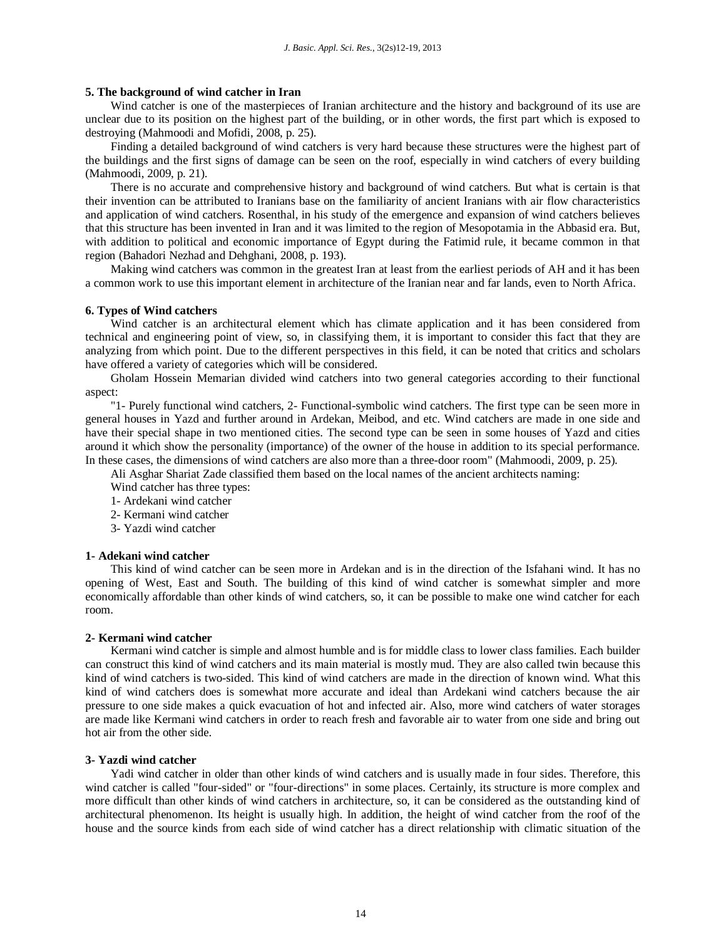#### **5. The background of wind catcher in Iran**

Wind catcher is one of the masterpieces of Iranian architecture and the history and background of its use are unclear due to its position on the highest part of the building, or in other words, the first part which is exposed to destroying (Mahmoodi and Mofidi, 2008, p. 25).

Finding a detailed background of wind catchers is very hard because these structures were the highest part of the buildings and the first signs of damage can be seen on the roof, especially in wind catchers of every building (Mahmoodi, 2009, p. 21).

There is no accurate and comprehensive history and background of wind catchers. But what is certain is that their invention can be attributed to Iranians base on the familiarity of ancient Iranians with air flow characteristics and application of wind catchers. Rosenthal, in his study of the emergence and expansion of wind catchers believes that this structure has been invented in Iran and it was limited to the region of Mesopotamia in the Abbasid era. But, with addition to political and economic importance of Egypt during the Fatimid rule, it became common in that region (Bahadori Nezhad and Dehghani, 2008, p. 193).

Making wind catchers was common in the greatest Iran at least from the earliest periods of AH and it has been a common work to use this important element in architecture of the Iranian near and far lands, even to North Africa.

#### **6. Types of Wind catchers**

Wind catcher is an architectural element which has climate application and it has been considered from technical and engineering point of view, so, in classifying them, it is important to consider this fact that they are analyzing from which point. Due to the different perspectives in this field, it can be noted that critics and scholars have offered a variety of categories which will be considered.

Gholam Hossein Memarian divided wind catchers into two general categories according to their functional aspect:

"1- Purely functional wind catchers, 2- Functional-symbolic wind catchers. The first type can be seen more in general houses in Yazd and further around in Ardekan, Meibod, and etc. Wind catchers are made in one side and have their special shape in two mentioned cities. The second type can be seen in some houses of Yazd and cities around it which show the personality (importance) of the owner of the house in addition to its special performance. In these cases, the dimensions of wind catchers are also more than a three-door room" (Mahmoodi, 2009, p. 25).

Ali Asghar Shariat Zade classified them based on the local names of the ancient architects naming:

- Wind catcher has three types:
- 1- Ardekani wind catcher
- 2- Kermani wind catcher
- 3- Yazdi wind catcher

#### **1- Adekani wind catcher**

This kind of wind catcher can be seen more in Ardekan and is in the direction of the Isfahani wind. It has no opening of West, East and South. The building of this kind of wind catcher is somewhat simpler and more economically affordable than other kinds of wind catchers, so, it can be possible to make one wind catcher for each room.

#### **2- Kermani wind catcher**

Kermani wind catcher is simple and almost humble and is for middle class to lower class families. Each builder can construct this kind of wind catchers and its main material is mostly mud. They are also called twin because this kind of wind catchers is two-sided. This kind of wind catchers are made in the direction of known wind. What this kind of wind catchers does is somewhat more accurate and ideal than Ardekani wind catchers because the air pressure to one side makes a quick evacuation of hot and infected air. Also, more wind catchers of water storages are made like Kermani wind catchers in order to reach fresh and favorable air to water from one side and bring out hot air from the other side.

#### **3- Yazdi wind catcher**

Yadi wind catcher in older than other kinds of wind catchers and is usually made in four sides. Therefore, this wind catcher is called "four-sided" or "four-directions" in some places. Certainly, its structure is more complex and more difficult than other kinds of wind catchers in architecture, so, it can be considered as the outstanding kind of architectural phenomenon. Its height is usually high. In addition, the height of wind catcher from the roof of the house and the source kinds from each side of wind catcher has a direct relationship with climatic situation of the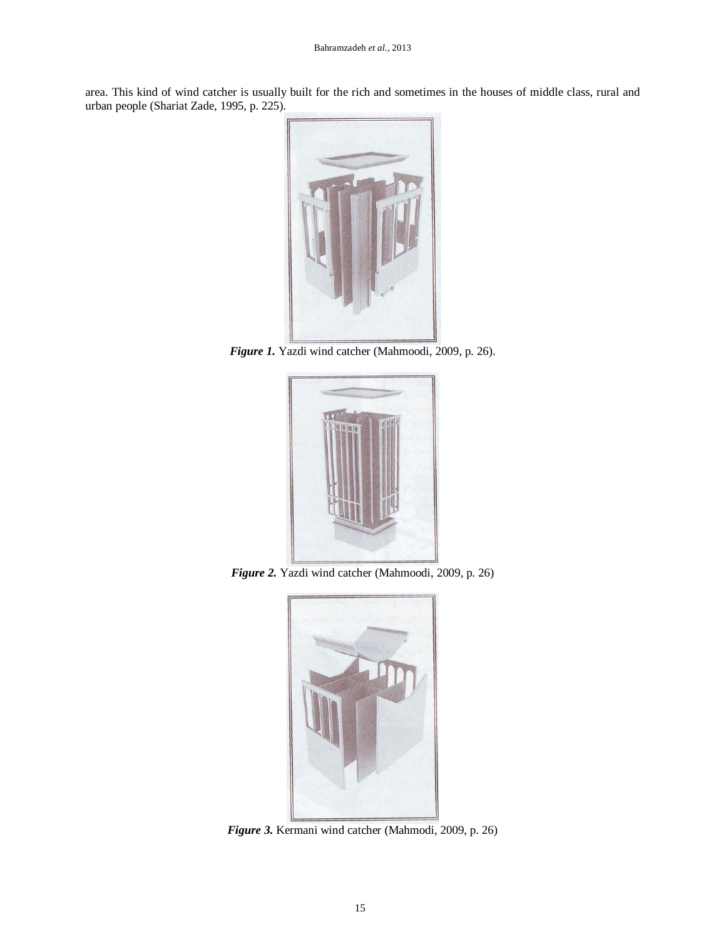area. This kind of wind catcher is usually built for the rich and sometimes in the houses of middle class, rural and urban people (Shariat Zade, 1995, p. 225).



*Figure 1.* Yazdi wind catcher (Mahmoodi, 2009, p. 26).



*Figure 2.* Yazdi wind catcher (Mahmoodi, 2009, p. 26)



*Figure 3.* Kermani wind catcher (Mahmodi, 2009, p. 26)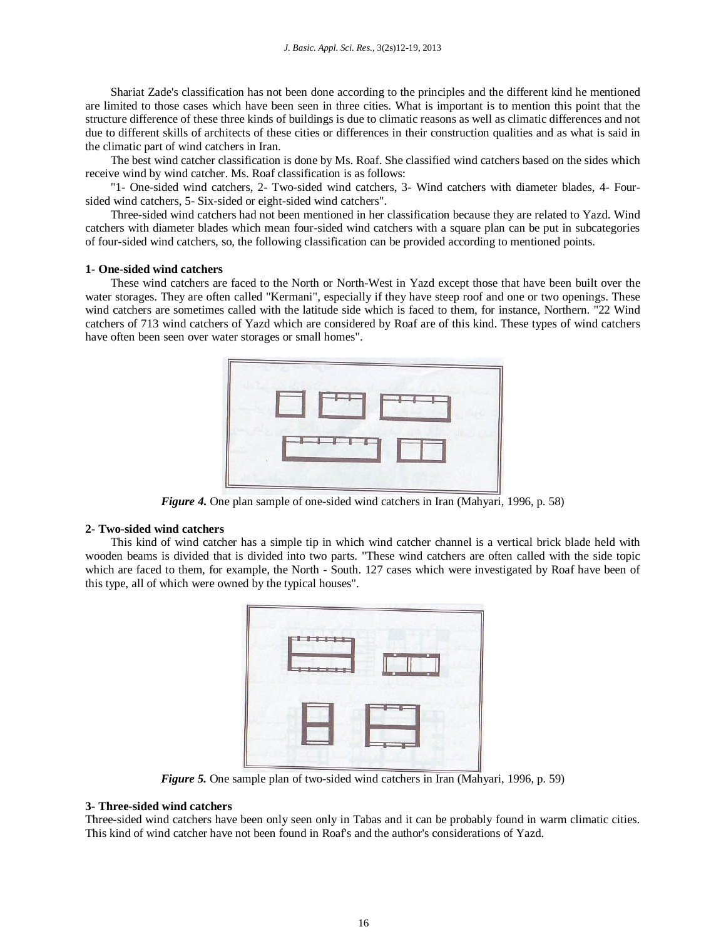Shariat Zade's classification has not been done according to the principles and the different kind he mentioned are limited to those cases which have been seen in three cities. What is important is to mention this point that the structure difference of these three kinds of buildings is due to climatic reasons as well as climatic differences and not due to different skills of architects of these cities or differences in their construction qualities and as what is said in the climatic part of wind catchers in Iran.

The best wind catcher classification is done by Ms. Roaf. She classified wind catchers based on the sides which receive wind by wind catcher. Ms. Roaf classification is as follows:

"1- One-sided wind catchers, 2- Two-sided wind catchers, 3- Wind catchers with diameter blades, 4- Foursided wind catchers, 5- Six-sided or eight-sided wind catchers".

Three-sided wind catchers had not been mentioned in her classification because they are related to Yazd. Wind catchers with diameter blades which mean four-sided wind catchers with a square plan can be put in subcategories of four-sided wind catchers, so, the following classification can be provided according to mentioned points.

## **1- One-sided wind catchers**

These wind catchers are faced to the North or North-West in Yazd except those that have been built over the water storages. They are often called "Kermani", especially if they have steep roof and one or two openings. These wind catchers are sometimes called with the latitude side which is faced to them, for instance, Northern. "22 Wind catchers of 713 wind catchers of Yazd which are considered by Roaf are of this kind. These types of wind catchers have often been seen over water storages or small homes".



*Figure 4.* One plan sample of one-sided wind catchers in Iran (Mahyari, 1996, p. 58)

## **2- Two-sided wind catchers**

This kind of wind catcher has a simple tip in which wind catcher channel is a vertical brick blade held with wooden beams is divided that is divided into two parts. "These wind catchers are often called with the side topic which are faced to them, for example, the North - South. 127 cases which were investigated by Roaf have been of this type, all of which were owned by the typical houses".

| <b>-----</b><br><b>Lesses</b> | n<br>n<br>п    |
|-------------------------------|----------------|
|                               | — <b>— — —</b> |

*Figure 5.* One sample plan of two-sided wind catchers in Iran (Mahyari, 1996, p. 59)

## **3- Three-sided wind catchers**

Three-sided wind catchers have been only seen only in Tabas and it can be probably found in warm climatic cities. This kind of wind catcher have not been found in Roaf's and the author's considerations of Yazd.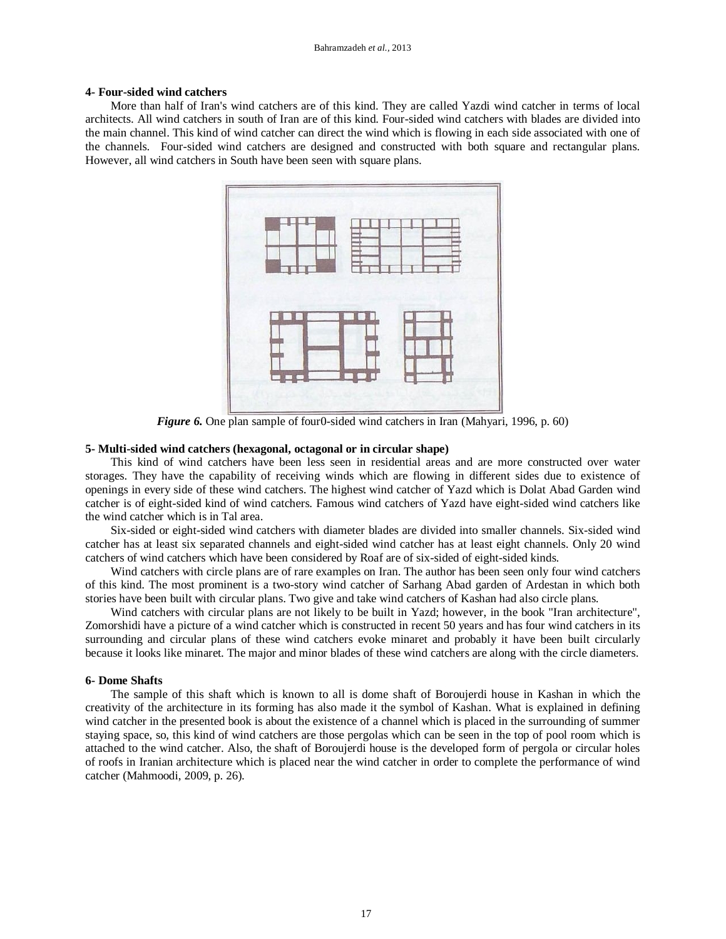## **4- Four-sided wind catchers**

More than half of Iran's wind catchers are of this kind. They are called Yazdi wind catcher in terms of local architects. All wind catchers in south of Iran are of this kind. Four-sided wind catchers with blades are divided into the main channel. This kind of wind catcher can direct the wind which is flowing in each side associated with one of the channels. Four-sided wind catchers are designed and constructed with both square and rectangular plans. However, all wind catchers in South have been seen with square plans.



*Figure 6.* One plan sample of four0-sided wind catchers in Iran (Mahyari, 1996, p. 60)

## **5- Multi-sided wind catchers (hexagonal, octagonal or in circular shape)**

This kind of wind catchers have been less seen in residential areas and are more constructed over water storages. They have the capability of receiving winds which are flowing in different sides due to existence of openings in every side of these wind catchers. The highest wind catcher of Yazd which is Dolat Abad Garden wind catcher is of eight-sided kind of wind catchers. Famous wind catchers of Yazd have eight-sided wind catchers like the wind catcher which is in Tal area.

Six-sided or eight-sided wind catchers with diameter blades are divided into smaller channels. Six-sided wind catcher has at least six separated channels and eight-sided wind catcher has at least eight channels. Only 20 wind catchers of wind catchers which have been considered by Roaf are of six-sided of eight-sided kinds.

Wind catchers with circle plans are of rare examples on Iran. The author has been seen only four wind catchers of this kind. The most prominent is a two-story wind catcher of Sarhang Abad garden of Ardestan in which both stories have been built with circular plans. Two give and take wind catchers of Kashan had also circle plans.

Wind catchers with circular plans are not likely to be built in Yazd; however, in the book "Iran architecture", Zomorshidi have a picture of a wind catcher which is constructed in recent 50 years and has four wind catchers in its surrounding and circular plans of these wind catchers evoke minaret and probably it have been built circularly because it looks like minaret. The major and minor blades of these wind catchers are along with the circle diameters.

#### **6- Dome Shafts**

The sample of this shaft which is known to all is dome shaft of Boroujerdi house in Kashan in which the creativity of the architecture in its forming has also made it the symbol of Kashan. What is explained in defining wind catcher in the presented book is about the existence of a channel which is placed in the surrounding of summer staying space, so, this kind of wind catchers are those pergolas which can be seen in the top of pool room which is attached to the wind catcher. Also, the shaft of Boroujerdi house is the developed form of pergola or circular holes of roofs in Iranian architecture which is placed near the wind catcher in order to complete the performance of wind catcher (Mahmoodi, 2009, p. 26).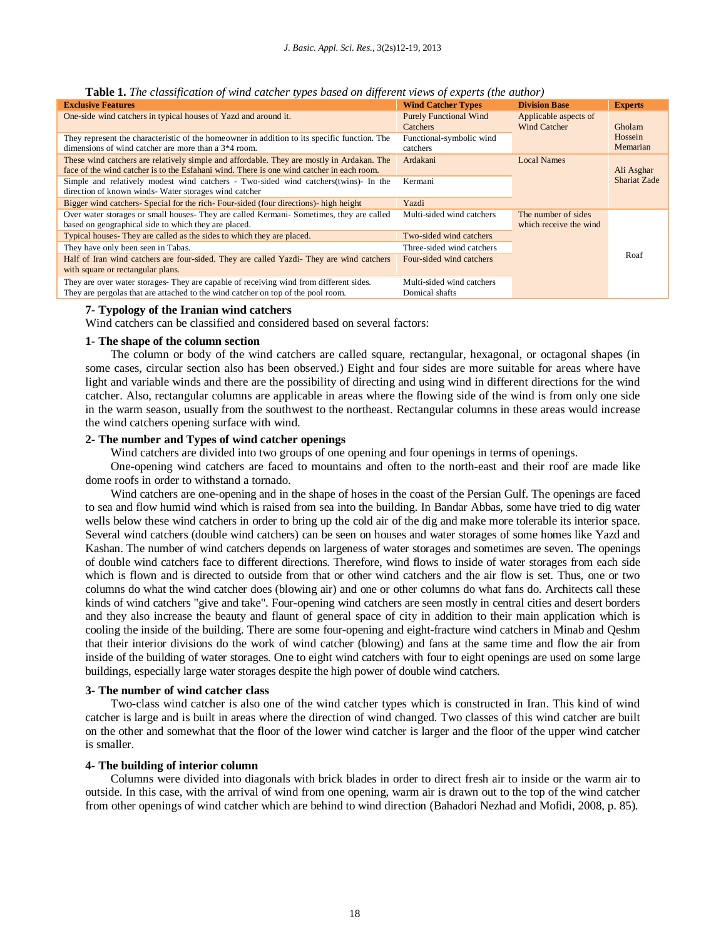| Table 1. The classification of wind catcher types based on different views of experts (the author) |  |  |  |
|----------------------------------------------------------------------------------------------------|--|--|--|
|                                                                                                    |  |  |  |

| <b>Exclusive Features</b>                                                                    | <b>Wind Catcher Types</b>     | <b>Division Base</b>   | <b>Experts</b>      |
|----------------------------------------------------------------------------------------------|-------------------------------|------------------------|---------------------|
| One-side wind catchers in typical houses of Yazd and around it.                              | <b>Purely Functional Wind</b> | Applicable aspects of  |                     |
|                                                                                              | Catchers                      | <b>Wind Catcher</b>    | Gholam              |
| They represent the characteristic of the homeowner in addition to its specific function. The | Functional-symbolic wind      |                        | Hossein             |
| dimensions of wind catcher are more than a 3 <sup>*4</sup> room.                             | catchers                      |                        | Memarian            |
| These wind catchers are relatively simple and affordable. They are mostly in Ardakan. The    | Ardakani                      | <b>Local Names</b>     |                     |
| face of the wind catcher is to the Esfahani wind. There is one wind catcher in each room.    |                               |                        | Ali Asghar          |
| Simple and relatively modest wind catchers - Two-sided wind catchers (twins)- In the         | Kermani                       |                        | <b>Shariat Zade</b> |
| direction of known winds-Water storages wind catcher                                         |                               |                        |                     |
| Bigger wind catchers- Special for the rich-Four-sided (four directions)- high height         | Yazdi                         |                        |                     |
| Over water storages or small houses- They are called Kermani- Sometimes, they are called     | Multi-sided wind catchers     | The number of sides    |                     |
| based on geographical side to which they are placed.                                         |                               | which receive the wind |                     |
| Typical houses- They are called as the sides to which they are placed.                       | Two-sided wind catchers       |                        |                     |
| They have only been seen in Tabas.                                                           | Three-sided wind catchers     |                        |                     |
| Half of Iran wind catchers are four-sided. They are called Yazdi- They are wind catchers     | Four-sided wind catchers      |                        | Roaf                |
| with square or rectangular plans.                                                            |                               |                        |                     |
| They are over water storages- They are capable of receiving wind from different sides.       | Multi-sided wind catchers     |                        |                     |
| They are pergolas that are attached to the wind catcher on top of the pool room.             | Domical shafts                |                        |                     |

#### **7- Typology of the Iranian wind catchers**

Wind catchers can be classified and considered based on several factors:

## **1- The shape of the column section**

The column or body of the wind catchers are called square, rectangular, hexagonal, or octagonal shapes (in some cases, circular section also has been observed.) Eight and four sides are more suitable for areas where have light and variable winds and there are the possibility of directing and using wind in different directions for the wind catcher. Also, rectangular columns are applicable in areas where the flowing side of the wind is from only one side in the warm season, usually from the southwest to the northeast. Rectangular columns in these areas would increase the wind catchers opening surface with wind.

## **2- The number and Types of wind catcher openings**

Wind catchers are divided into two groups of one opening and four openings in terms of openings.

One-opening wind catchers are faced to mountains and often to the north-east and their roof are made like dome roofs in order to withstand a tornado.

Wind catchers are one-opening and in the shape of hoses in the coast of the Persian Gulf. The openings are faced to sea and flow humid wind which is raised from sea into the building. In Bandar Abbas, some have tried to dig water wells below these wind catchers in order to bring up the cold air of the dig and make more tolerable its interior space. Several wind catchers (double wind catchers) can be seen on houses and water storages of some homes like Yazd and Kashan. The number of wind catchers depends on largeness of water storages and sometimes are seven. The openings of double wind catchers face to different directions. Therefore, wind flows to inside of water storages from each side which is flown and is directed to outside from that or other wind catchers and the air flow is set. Thus, one or two columns do what the wind catcher does (blowing air) and one or other columns do what fans do. Architects call these kinds of wind catchers "give and take". Four-opening wind catchers are seen mostly in central cities and desert borders and they also increase the beauty and flaunt of general space of city in addition to their main application which is cooling the inside of the building. There are some four-opening and eight-fracture wind catchers in Minab and Qeshm that their interior divisions do the work of wind catcher (blowing) and fans at the same time and flow the air from inside of the building of water storages. One to eight wind catchers with four to eight openings are used on some large buildings, especially large water storages despite the high power of double wind catchers.

#### **3- The number of wind catcher class**

Two-class wind catcher is also one of the wind catcher types which is constructed in Iran. This kind of wind catcher is large and is built in areas where the direction of wind changed. Two classes of this wind catcher are built on the other and somewhat that the floor of the lower wind catcher is larger and the floor of the upper wind catcher is smaller.

#### **4- The building of interior column**

Columns were divided into diagonals with brick blades in order to direct fresh air to inside or the warm air to outside. In this case, with the arrival of wind from one opening, warm air is drawn out to the top of the wind catcher from other openings of wind catcher which are behind to wind direction (Bahadori Nezhad and Mofidi, 2008, p. 85).